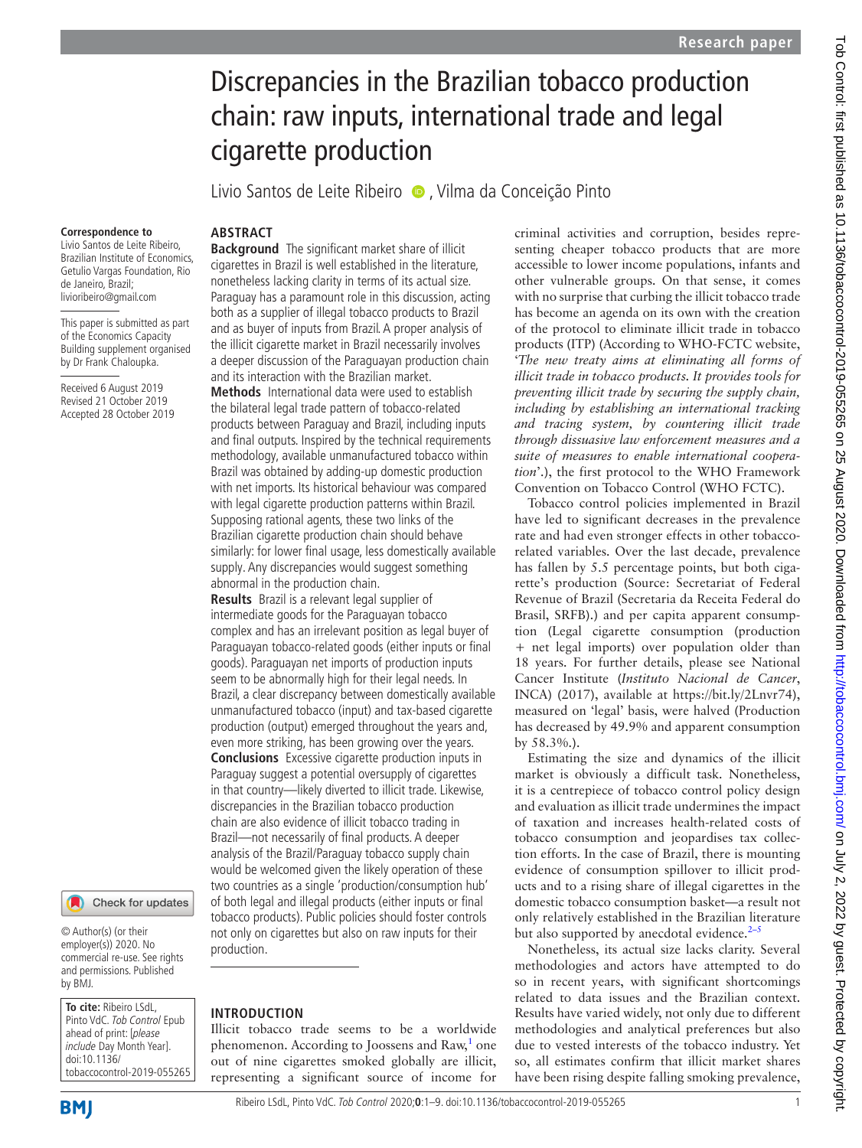# Discrepancies in the Brazilian tobacco production chain: raw inputs, international trade and legal cigarette production

LivioSantos de Leite Ribeiro  $\bullet$ , Vilma da Conceição Pinto

#### **Correspondence to**

Livio Santos de Leite Ribeiro, Brazilian Institute of Economics, Getulio Vargas Foundation, Rio de Janeiro, Brazil; livioribeiro@gmail.com

This paper is submitted as part of the Economics Capacity Building supplement organised by Dr Frank Chaloupka.

Received 6 August 2019 Revised 21 October 2019 Accepted 28 October 2019



© Author(s) (or their employer(s)) 2020. No commercial re-use. See rights and permissions. Published by BMJ.

**To cite:** Ribeiro LSdL, Pinto VdC. Tob Control Epub ahead of print: [please include Day Month Year]. doi:10.1136/ tobaccocontrol-2019-055265 **Background** The significant market share of illicit cigarettes in Brazil is well established in the literature, nonetheless lacking clarity in terms of its actual size. Paraguay has a paramount role in this discussion, acting both as a supplier of illegal tobacco products to Brazil and as buyer of inputs from Brazil. A proper analysis of the illicit cigarette market in Brazil necessarily involves a deeper discussion of the Paraguayan production chain and its interaction with the Brazilian market.

**Abstract**

**Methods** International data were used to establish the bilateral legal trade pattern of tobacco-related products between Paraguay and Brazil, including inputs and final outputs. Inspired by the technical requirements methodology, available unmanufactured tobacco within Brazil was obtained by adding-up domestic production with net imports. Its historical behaviour was compared with legal cigarette production patterns within Brazil. Supposing rational agents, these two links of the Brazilian cigarette production chain should behave similarly: for lower final usage, less domestically available supply. Any discrepancies would suggest something abnormal in the production chain.

**Results** Brazil is a relevant legal supplier of intermediate goods for the Paraguayan tobacco complex and has an irrelevant position as legal buyer of Paraguayan tobacco-related goods (either inputs or final goods). Paraguayan net imports of production inputs seem to be abnormally high for their legal needs. In Brazil, a clear discrepancy between domestically available unmanufactured tobacco (input) and tax-based cigarette production (output) emerged throughout the years and, even more striking, has been growing over the years. **Conclusions** Excessive cigarette production inputs in Paraguay suggest a potential oversupply of cigarettes in that country—likely diverted to illicit trade. Likewise, discrepancies in the Brazilian tobacco production chain are also evidence of illicit tobacco trading in Brazil—not necessarily of final products. A deeper analysis of the Brazil/Paraguay tobacco supply chain would be welcomed given the likely operation of these two countries as a single 'production/consumption hub' of both legal and illegal products (either inputs or final tobacco products). Public policies should foster controls not only on cigarettes but also on raw inputs for their production.

# **Introduction**

Illicit tobacco trade seems to be a worldwide phenomenon. According to Joossens and Raw, $^{1}$  $^{1}$  $^{1}$  one out of nine cigarettes smoked globally are illicit, representing a significant source of income for

criminal activities and corruption, besides representing cheaper tobacco products that are more accessible to lower income populations, infants and other vulnerable groups. On that sense, it comes with no surprise that curbing the illicit tobacco trade has become an agenda on its own with the creation of the protocol to eliminate illicit trade in tobacco products (ITP) (According to WHO-FCTC website, '*The new treaty aims at eliminating all forms of illicit trade in tobacco products. It provides tools for preventing illicit trade by securing the supply chain, including by establishing an international tracking and tracing system, by countering illicit trade through dissuasive law enforcement measures and a suite of measures to enable international cooperation*'.), the first protocol to the WHO Framework Convention on Tobacco Control (WHO FCTC).

Tobacco control policies implemented in Brazil have led to significant decreases in the prevalence rate and had even stronger effects in other tobaccorelated variables. Over the last decade, prevalence has fallen by 5.5 percentage points, but both cigarette's production (Source: Secretariat of Federal Revenue of Brazil (Secretaria da Receita Federal do Brasil, SRFB).) and per capita apparent consumption (Legal cigarette consumption (production + net legal imports) over population older than 18 years. For further details, please see National Cancer Institute (*Instituto Nacional de Cancer*, INCA) (2017), available at [https://bit.ly/2Lnvr74\)](https://bit.ly/2Lnvr74), measured on 'legal' basis, were halved (Production has decreased by 49.9% and apparent consumption by 58.3%.).

Estimating the size and dynamics of the illicit market is obviously a difficult task. Nonetheless, it is a centrepiece of tobacco control policy design and evaluation as illicit trade undermines the impact of taxation and increases health-related costs of tobacco consumption and jeopardises tax collection efforts. In the case of Brazil, there is mounting evidence of consumption spillover to illicit products and to a rising share of illegal cigarettes in the domestic tobacco consumption basket—a result not only relatively established in the Brazilian literature but also supported by anecdotal evidence. $2-5$ 

Nonetheless, its actual size lacks clarity. Several methodologies and actors have attempted to do so in recent years, with significant shortcomings related to data issues and the Brazilian context. Results have varied widely, not only due to different methodologies and analytical preferences but also due to vested interests of the tobacco industry. Yet so, all estimates confirm that illicit market shares have been rising despite falling smoking prevalence,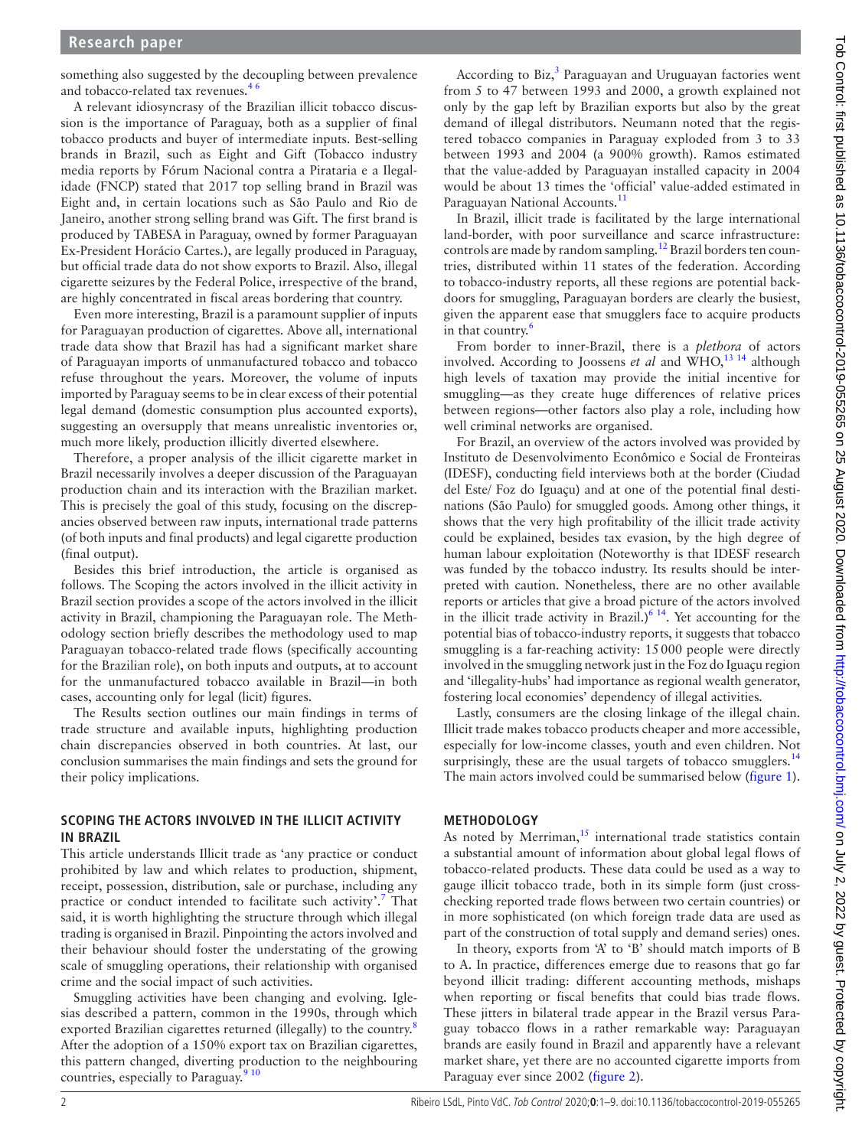something also suggested by the decoupling between prevalence and tobacco-related tax revenues.<sup>46</sup>

A relevant idiosyncrasy of the Brazilian illicit tobacco discussion is the importance of Paraguay, both as a supplier of final tobacco products and buyer of intermediate inputs. Best-selling brands in Brazil, such as Eight and Gift (Tobacco industry media reports by Fórum Nacional contra a Pirataria e a Ilegalidade (FNCP) stated that 2017 top selling brand in Brazil was Eight and, in certain locations such as São Paulo and Rio de Janeiro, another strong selling brand was Gift. The first brand is produced by TABESA in Paraguay, owned by former Paraguayan Ex-President Horácio Cartes.), are legally produced in Paraguay, but official trade data do not show exports to Brazil. Also, illegal cigarette seizures by the Federal Police, irrespective of the brand, are highly concentrated in fiscal areas bordering that country.

Even more interesting, Brazil is a paramount supplier of inputs for Paraguayan production of cigarettes. Above all, international trade data show that Brazil has had a significant market share of Paraguayan imports of unmanufactured tobacco and tobacco refuse throughout the years. Moreover, the volume of inputs imported by Paraguay seems to be in clear excess of their potential legal demand (domestic consumption plus accounted exports), suggesting an oversupply that means unrealistic inventories or, much more likely, production illicitly diverted elsewhere.

Therefore, a proper analysis of the illicit cigarette market in Brazil necessarily involves a deeper discussion of the Paraguayan production chain and its interaction with the Brazilian market. This is precisely the goal of this study, focusing on the discrepancies observed between raw inputs, international trade patterns (of both inputs and final products) and legal cigarette production (final output).

Besides this brief introduction, the article is organised as follows. The Scoping the actors involved in the illicit activity in Brazil section provides a scope of the actors involved in the illicit activity in Brazil, championing the Paraguayan role. The Methodology section briefly describes the methodology used to map Paraguayan tobacco-related trade flows (specifically accounting for the Brazilian role), on both inputs and outputs, at to account for the unmanufactured tobacco available in Brazil—in both cases, accounting only for legal (licit) figures.

The Results section outlines our main findings in terms of trade structure and available inputs, highlighting production chain discrepancies observed in both countries. At last, our conclusion summarises the main findings and sets the ground for their policy implications.

## **Scoping the actors involved in the illicit activity in Brazil**

This article understands Illicit trade as 'any practice or conduct prohibited by law and which relates to production, shipment, receipt, possession, distribution, sale or purchase, including any practice or conduct intended to facilitate such activity'.<sup>[7](#page-8-3)</sup> That said, it is worth highlighting the structure through which illegal trading is organised in Brazil. Pinpointing the actors involved and their behaviour should foster the understating of the growing scale of smuggling operations, their relationship with organised crime and the social impact of such activities.

Smuggling activities have been changing and evolving. Iglesias described a pattern, common in the 1990s, through which exported Brazilian cigarettes returned (illegally) to the country.<sup>8</sup> After the adoption of a 150% export tax on Brazilian cigarettes, this pattern changed, diverting production to the neighbouring countries, especially to Paraguay.<sup>[9 10](#page-8-5)</sup>

According to Biz,<sup>[3](#page-8-6)</sup> Paraguayan and Uruguayan factories went from 5 to 47 between 1993 and 2000, a growth explained not only by the gap left by Brazilian exports but also by the great demand of illegal distributors. Neumann noted that the registered tobacco companies in Paraguay exploded from 3 to 33 between 1993 and 2004 (a 900% growth). Ramos estimated that the value-added by Paraguayan installed capacity in 2004 would be about 13 times the 'official' value-added estimated in Paraguayan National Accounts.<sup>[11](#page-8-7)</sup>

In Brazil, illicit trade is facilitated by the large international land-border, with poor surveillance and scarce infrastructure: controls are made by random sampling.[12](#page-8-8) Brazil borders ten countries, distributed within 11 states of the federation. According to tobacco-industry reports, all these regions are potential backdoors for smuggling, Paraguayan borders are clearly the busiest, given the apparent ease that smugglers face to acquire products in that country.<sup>[6](#page-8-9)</sup>

From border to inner-Brazil, there is a *plethora* of actors involved. According to Joossens *et al* and WHO,<sup>13 14</sup> although high levels of taxation may provide the initial incentive for smuggling—as they create huge differences of relative prices between regions—other factors also play a role, including how well criminal networks are organised.

For Brazil, an overview of the actors involved was provided by Instituto de Desenvolvimento Econômico e Social de Fronteiras (IDESF), conducting field interviews both at the border (Ciudad del Este/ Foz do Iguaçu) and at one of the potential final destinations (São Paulo) for smuggled goods. Among other things, it shows that the very high profitability of the illicit trade activity could be explained, besides tax evasion, by the high degree of human labour exploitation (Noteworthy is that IDESF research was funded by the tobacco industry. Its results should be interpreted with caution. Nonetheless, there are no other available reports or articles that give a broad picture of the actors involved in the illicit trade activity in Brazil.)<sup>6 14</sup>. Yet accounting for the potential bias of tobacco-industry reports, it suggests that tobacco smuggling is a far-reaching activity: 15000 people were directly involved in the smuggling network just in the Foz do Iguaçu region and 'illegality-hubs' had importance as regional wealth generator, fostering local economies' dependency of illegal activities.

Lastly, consumers are the closing linkage of the illegal chain. Illicit trade makes tobacco products cheaper and more accessible, especially for low-income classes, youth and even children. Not surprisingly, these are the usual targets of tobacco smugglers.<sup>[14](#page-8-11)</sup> The main actors involved could be summarised below ([figure](#page-2-0) 1).

## **Methodology**

As noted by Merriman, $15$  international trade statistics contain a substantial amount of information about global legal flows of tobacco-related products. These data could be used as a way to gauge illicit tobacco trade, both in its simple form (just crosschecking reported trade flows between two certain countries) or in more sophisticated (on which foreign trade data are used as part of the construction of total supply and demand series) ones.

In theory, exports from 'A' to 'B' should match imports of B to A. In practice, differences emerge due to reasons that go far beyond illicit trading: different accounting methods, mishaps when reporting or fiscal benefits that could bias trade flows. These jitters in bilateral trade appear in the Brazil versus Paraguay tobacco flows in a rather remarkable way: Paraguayan brands are easily found in Brazil and apparently have a relevant market share, yet there are no accounted cigarette imports from Paraguay ever since 2002 ([figure](#page-2-1) 2).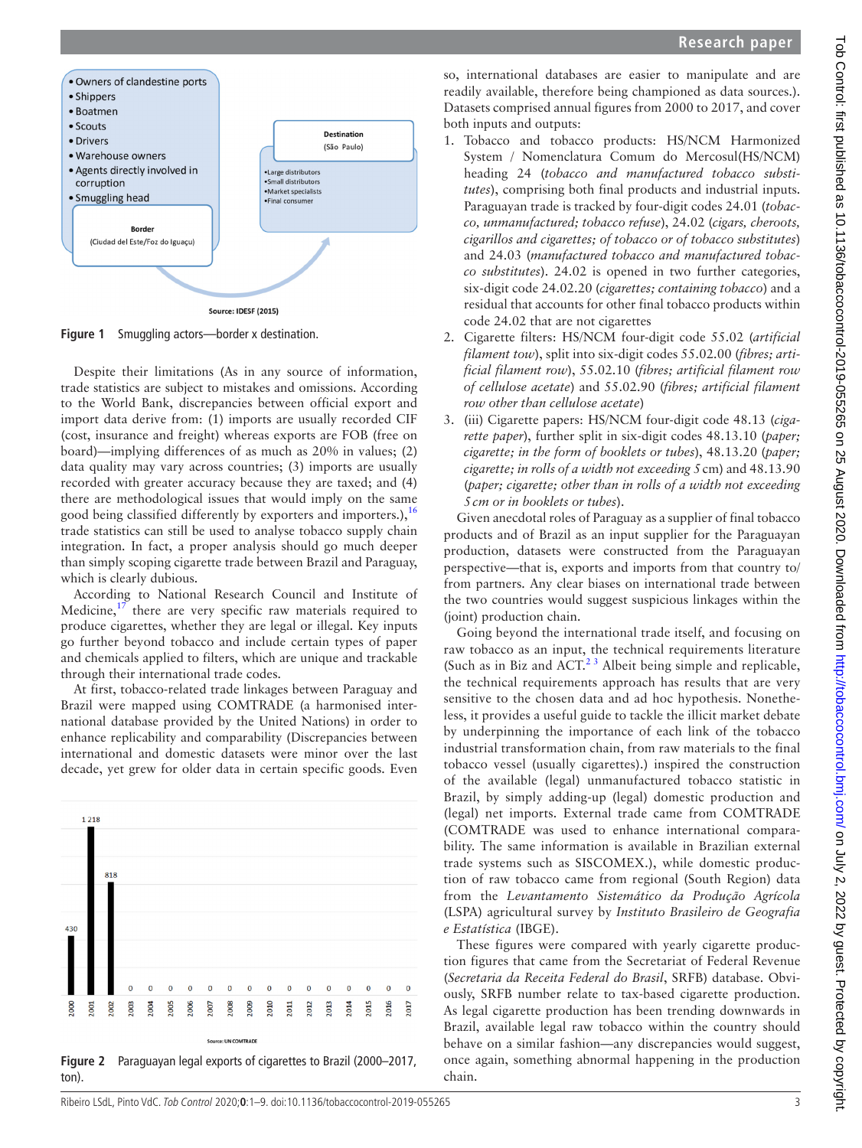

<span id="page-2-0"></span>**Figure 1** Smuggling actors—border x destination.

Despite their limitations (As in any source of information, trade statistics are subject to mistakes and omissions. According to the World Bank, discrepancies between official export and import data derive from: (1) imports are usually recorded CIF (cost, insurance and freight) whereas exports are FOB (free on board)—implying differences of as much as 20% in values; (2) data quality may vary across countries; (3) imports are usually recorded with greater accuracy because they are taxed; and (4) there are methodological issues that would imply on the same good being classified differently by exporters and importers.), <sup>[16](#page-8-13)</sup> trade statistics can still be used to analyse tobacco supply chain integration. In fact, a proper analysis should go much deeper than simply scoping cigarette trade between Brazil and Paraguay, which is clearly dubious.

According to National Research Council and Institute of Medicine, $17$  there are very specific raw materials required to produce cigarettes, whether they are legal or illegal. Key inputs go further beyond tobacco and include certain types of paper and chemicals applied to filters, which are unique and trackable through their international trade codes.

At first, tobacco-related trade linkages between Paraguay and Brazil were mapped using COMTRADE (a harmonised international database provided by the United Nations) in order to enhance replicability and comparability (Discrepancies between international and domestic datasets were minor over the last decade, yet grew for older data in certain specific goods. Even



<span id="page-2-1"></span>**Figure 2** Paraguayan legal exports of cigarettes to Brazil (2000–2017, ton).

so, international databases are easier to manipulate and are readily available, therefore being championed as data sources.). Datasets comprised annual figures from 2000 to 2017, and cover both inputs and outputs:

- 1. Tobacco and tobacco products: HS/NCM Harmonized System / Nomenclatura Comum do Mercosul(HS/NCM) heading 24 (*tobacco and manufactured tobacco substitutes*), comprising both final products and industrial inputs. Paraguayan trade is tracked by four-digit codes 24.01 (*tobacco, unmanufactured; tobacco refuse*), 24.02 (*cigars, cheroots, cigarillos and cigarettes; of tobacco or of tobacco substitutes*) and 24.03 (*manufactured tobacco and manufactured tobacco substitutes*). 24.02 is opened in two further categories, six-digit code 24.02.20 (*cigarettes; containing tobacco*) and a residual that accounts for other final tobacco products within code 24.02 that are not cigarettes
- 2. Cigarette filters: HS/NCM four-digit code 55.02 (*artificial filament tow*), split into six-digit codes 55.02.00 (*fibres; artificial filament row*), 55.02.10 (*fibres; artificial filament row of cellulose acetate*) and 55.02.90 (*fibres; artificial filament row other than cellulose acetate*)
- 3. (iii) Cigarette papers: HS/NCM four-digit code 48.13 (*cigarette paper*), further split in six-digit codes 48.13.10 (*paper; cigarette; in the form of booklets or tubes*), 48.13.20 (*paper; cigarette; in rolls of a width not exceeding 5*cm) and 48.13.90 (*paper; cigarette; other than in rolls of a width not exceeding 5cm or in booklets or tubes*).

Given anecdotal roles of Paraguay as a supplier of final tobacco products and of Brazil as an input supplier for the Paraguayan production, datasets were constructed from the Paraguayan perspective—that is, exports and imports from that country to/ from partners. Any clear biases on international trade between the two countries would suggest suspicious linkages within the (joint) production chain.

Going beyond the international trade itself, and focusing on raw tobacco as an input, the technical requirements literature (Such as in Biz and  $\text{ACT.}^{23}$  Albeit being simple and replicable, the technical requirements approach has results that are very sensitive to the chosen data and ad hoc hypothesis. Nonetheless, it provides a useful guide to tackle the illicit market debate by underpinning the importance of each link of the tobacco industrial transformation chain, from raw materials to the final tobacco vessel (usually cigarettes).) inspired the construction of the available (legal) unmanufactured tobacco statistic in Brazil, by simply adding-up (legal) domestic production and (legal) net imports. External trade came from COMTRADE (COMTRADE was used to enhance international comparability. The same information is available in Brazilian external trade systems such as SISCOMEX.), while domestic production of raw tobacco came from regional (South Region) data from the *Levantamento Sistemático da Produção Agrícola* (LSPA) agricultural survey by *Instituto Brasileiro de Geografia e Estatística* (IBGE).

These figures were compared with yearly cigarette production figures that came from the Secretariat of Federal Revenue (*Secretaria da Receita Federal do Brasil*, SRFB) database. Obviously, SRFB number relate to tax-based cigarette production. As legal cigarette production has been trending downwards in Brazil, available legal raw tobacco within the country should behave on a similar fashion—any discrepancies would suggest, once again, something abnormal happening in the production chain.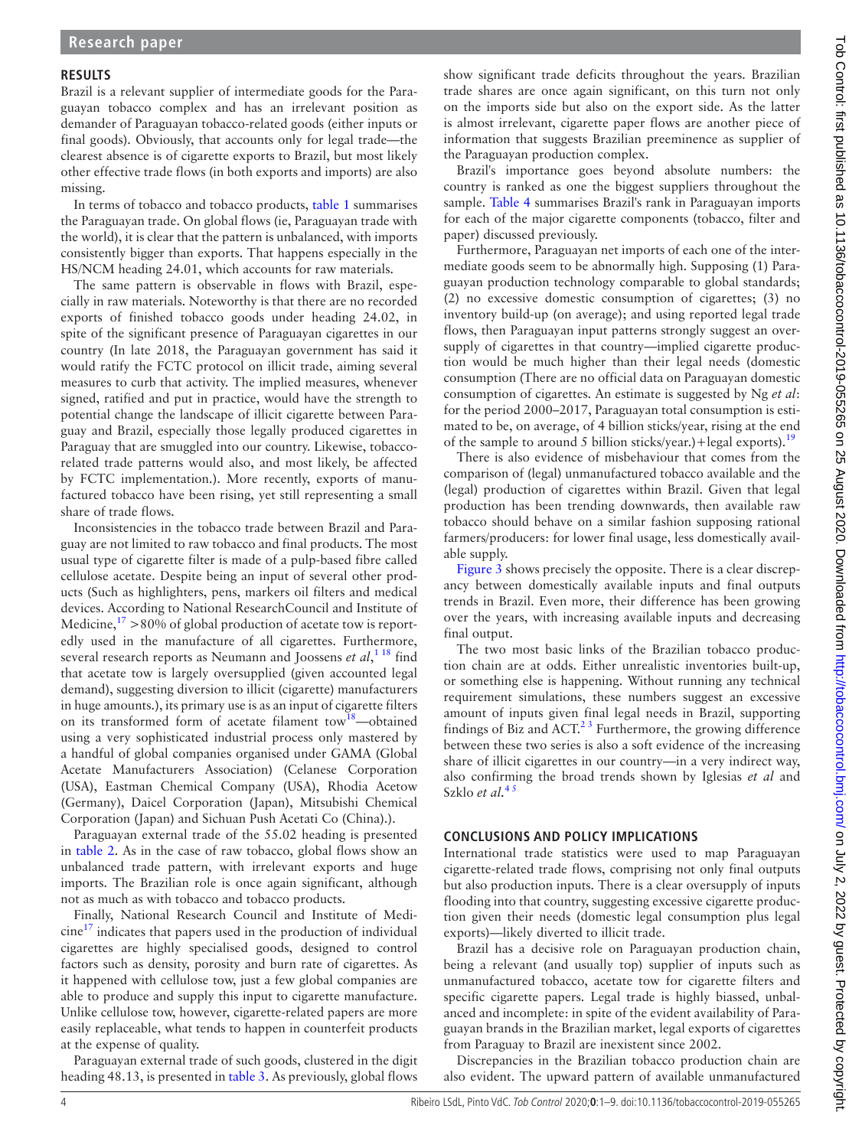### **Results**

Brazil is a relevant supplier of intermediate goods for the Paraguayan tobacco complex and has an irrelevant position as demander of Paraguayan tobacco-related goods (either inputs or final goods). Obviously, that accounts only for legal trade—the clearest absence is of cigarette exports to Brazil, but most likely other effective trade flows (in both exports and imports) are also missing.

In terms of tobacco and tobacco products, [table](#page-4-0) 1 summarises the Paraguayan trade. On global flows (ie, Paraguayan trade with the world), it is clear that the pattern is unbalanced, with imports consistently bigger than exports. That happens especially in the HS/NCM heading 24.01, which accounts for raw materials.

The same pattern is observable in flows with Brazil, especially in raw materials. Noteworthy is that there are no recorded exports of finished tobacco goods under heading 24.02, in spite of the significant presence of Paraguayan cigarettes in our country (In late 2018, the Paraguayan government has said it would ratify the FCTC protocol on illicit trade, aiming several measures to curb that activity. The implied measures, whenever signed, ratified and put in practice, would have the strength to potential change the landscape of illicit cigarette between Paraguay and Brazil, especially those legally produced cigarettes in Paraguay that are smuggled into our country. Likewise, tobaccorelated trade patterns would also, and most likely, be affected by FCTC implementation.). More recently, exports of manufactured tobacco have been rising, yet still representing a small share of trade flows.

Inconsistencies in the tobacco trade between Brazil and Paraguay are not limited to raw tobacco and final products. The most usual type of cigarette filter is made of a pulp-based fibre called cellulose acetate. Despite being an input of several other products (Such as highlighters, pens, markers oil filters and medical devices. According to National ResearchCouncil and Institute of Medicine,  $17 > 80\%$  $17 > 80\%$  of global production of acetate tow is reportedly used in the manufacture of all cigarettes. Furthermore, several research reports as Neumann and Joossens *et al*,<sup>118</sup> find that acetate tow is largely oversupplied (given accounted legal demand), suggesting diversion to illicit (cigarette) manufacturers in huge amounts.), its primary use is as an input of cigarette filters on its transformed form of acetate filament tow<sup>18</sup>—obtained using a very sophisticated industrial process only mastered by a handful of global companies organised under GAMA (Global Acetate Manufacturers Association) (Celanese Corporation (USA), Eastman Chemical Company (USA), Rhodia Acetow (Germany), Daicel Corporation (Japan), Mitsubishi Chemical Corporation (Japan) and Sichuan Push Acetati Co (China).).

Paraguayan external trade of the 55.02 heading is presented in [table](#page-5-0) 2. As in the case of raw tobacco, global flows show an unbalanced trade pattern, with irrelevant exports and huge imports. The Brazilian role is once again significant, although not as much as with tobacco and tobacco products.

Finally, National Research Council and Institute of Medi- $\text{cine}^{17}$  $\text{cine}^{17}$  $\text{cine}^{17}$  indicates that papers used in the production of individual cigarettes are highly specialised goods, designed to control factors such as density, porosity and burn rate of cigarettes. As it happened with cellulose tow, just a few global companies are able to produce and supply this input to cigarette manufacture. Unlike cellulose tow, however, cigarette-related papers are more easily replaceable, what tends to happen in counterfeit products at the expense of quality.

Paraguayan external trade of such goods, clustered in the digit heading 48.13, is presented in [table](#page-6-0) 3. As previously, global flows

show significant trade deficits throughout the years. Brazilian trade shares are once again significant, on this turn not only on the imports side but also on the export side. As the latter is almost irrelevant, cigarette paper flows are another piece of information that suggests Brazilian preeminence as supplier of the Paraguayan production complex.

Brazil's importance goes beyond absolute numbers: the country is ranked as one the biggest suppliers throughout the sample. [Table](#page-7-0) 4 summarises Brazil's rank in Paraguayan imports for each of the major cigarette components (tobacco, filter and paper) discussed previously.

Furthermore, Paraguayan net imports of each one of the intermediate goods seem to be abnormally high. Supposing (1) Paraguayan production technology comparable to global standards; (2) no excessive domestic consumption of cigarettes; (3) no inventory build-up (on average); and using reported legal trade flows, then Paraguayan input patterns strongly suggest an oversupply of cigarettes in that country—implied cigarette production would be much higher than their legal needs (domestic consumption (There are no official data on Paraguayan domestic consumption of cigarettes. An estimate is suggested by Ng *et al*: for the period 2000–2017, Paraguayan total consumption is estimated to be, on average, of 4 billion sticks/year, rising at the end of the sample to around 5 billion sticks/year.)+legal exports).<sup>19</sup>

There is also evidence of misbehaviour that comes from the comparison of (legal) unmanufactured tobacco available and the (legal) production of cigarettes within Brazil. Given that legal production has been trending downwards, then available raw tobacco should behave on a similar fashion supposing rational farmers/producers: for lower final usage, less domestically available supply.

[Figure](#page-7-1) 3 shows precisely the opposite. There is a clear discrepancy between domestically available inputs and final outputs trends in Brazil. Even more, their difference has been growing over the years, with increasing available inputs and decreasing final output.

The two most basic links of the Brazilian tobacco production chain are at odds. Either unrealistic inventories built-up, or something else is happening. Without running any technical requirement simulations, these numbers suggest an excessive amount of inputs given final legal needs in Brazil, supporting findings of Biz and  $ACT.<sup>23</sup>$  Furthermore, the growing difference between these two series is also a soft evidence of the increasing share of illicit cigarettes in our country—in a very indirect way, also confirming the broad trends shown by Iglesias *et al* and Szklo *et al.*[4 5](#page-8-2)

## **Conclusions and policy implications**

International trade statistics were used to map Paraguayan cigarette-related trade flows, comprising not only final outputs but also production inputs. There is a clear oversupply of inputs flooding into that country, suggesting excessive cigarette production given their needs (domestic legal consumption plus legal exports)—likely diverted to illicit trade.

Brazil has a decisive role on Paraguayan production chain, being a relevant (and usually top) supplier of inputs such as unmanufactured tobacco, acetate tow for cigarette filters and specific cigarette papers. Legal trade is highly biassed, unbalanced and incomplete: in spite of the evident availability of Paraguayan brands in the Brazilian market, legal exports of cigarettes from Paraguay to Brazil are inexistent since 2002.

Discrepancies in the Brazilian tobacco production chain are also evident. The upward pattern of available unmanufactured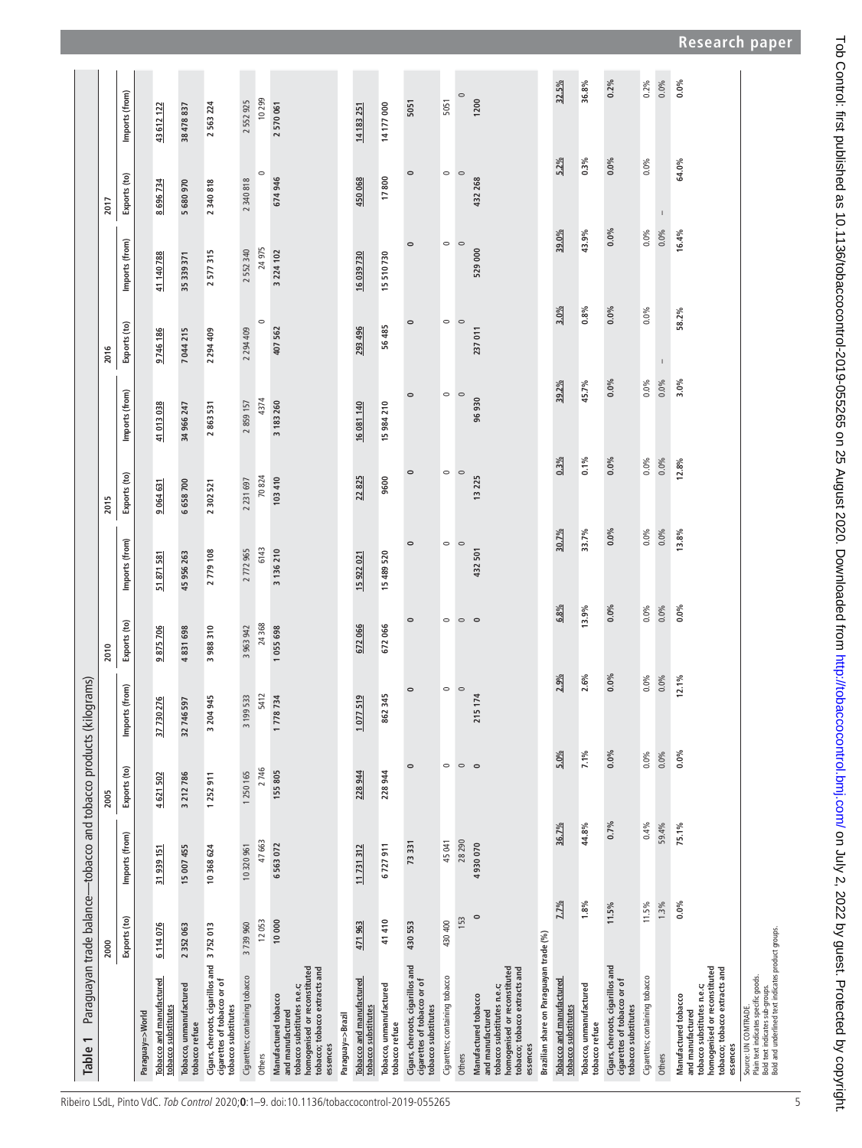| $\overline{\phantom{0}}$<br>Table                                                                                                                     | Paraguayan trade balance- |                |                 | -tobacco and tobacco products (kilograms) |                 |                |              |                |               |                |              |                |
|-------------------------------------------------------------------------------------------------------------------------------------------------------|---------------------------|----------------|-----------------|-------------------------------------------|-----------------|----------------|--------------|----------------|---------------|----------------|--------------|----------------|
|                                                                                                                                                       | 2000                      |                | 2005            |                                           | 2010            |                | 2015         |                | 2016          |                | 2017         |                |
|                                                                                                                                                       | Exports (to)              | Imports (from) | Exports (to)    | Imports (from)                            | Exports (to)    | Imports (from) | Exports (to) | Imports (from) | Exports (to)  | Imports (from) | Exports (to) | Imports (from) |
| Paraguay=>World                                                                                                                                       |                           |                |                 |                                           |                 |                |              |                |               |                |              |                |
| Tobacco and manufactured<br>tobacco substitutes                                                                                                       | 6 114 076                 | 31 939 151     | 4621502         | 276<br>37730                              | 9875706         | 51871581       | 9064631      | 41013038       | 9746186       | 41 140 788     | 8 696 734    | 43612122       |
| Tobacco, unmanufactured<br>tobacco refuse                                                                                                             | 2 352 063                 | 15 007 455     | 3 212 786       | 597<br>32746                              | 4831698         | 45956263       | 6658700      | 34 966 247     | 7 044 215     | 35 339 371     | 5 680 970    | 38478837       |
| Cigars, cheroots, cigarillos and<br>cigarettes of tobacco or of<br>tobacco substitutes                                                                | 3752013                   | 10 368 624     | 1252911         | 945<br>3204                               | 3988310         | 2779 108       | 2 3 0 2 5 2  | 2863531        | 2 294 409     | 2577315        | 2340818      | 2563224        |
| Cigarettes; containing tobacco                                                                                                                        | 3739960                   | 10320961       | 1250165         | 3199533                                   | 3 963 942       | 2772965        | 2 231 697    | 2859157        | 2 2 9 4 4 0 9 | 2 552 340      | 2 340 818    | 2 552 925      |
| Others                                                                                                                                                | 12053                     | 47663          | 2 746           | 5412                                      | 24368           | 6143           | 70824        | 4374           | $\circ$       | 24975          | $\circ$      | 10299          |
| homogenised or reconstituted<br>tobacco; tobacco extracts and<br>tobacco substitutes n.e.c;<br>Manufactured tobacco<br>and manufactured<br>essences   | 10 000                    | 6563072        | 155805          | 734<br>1778                               | 1055698         | 3 136 210      | 103 410      | 3 183 260      | 407562        | 3 224 102      | 674946       | 2570061        |
| Paraguay=>Brazil                                                                                                                                      |                           |                |                 |                                           |                 |                |              |                |               |                |              |                |
| <b>Tobacco and manufactured</b><br>tobacco substitutes                                                                                                | 471963                    | 11 731 312     | 228 944         | 1077519                                   | 672 066         | 15922021       | 22825        | 16 08 1 140    | 293 496       | 16 039 730     | 450 068      | 14 183 251     |
| Tobacco, unmanufactured<br>tobacco refuse                                                                                                             | 41 410                    | 6727911        | 228944          | 2345<br>86                                | 672066          | 15489520       | 9600         | 15984210       | 56485         | 15510730       | 17800        | 14177000       |
| Cigars, cheroots, cigarillos and<br>cigarettes of tobacco or of<br>tobacco substitutes                                                                | 430 553                   | 73331          | $\circ$         | $\circ$                                   | $\circ$         | $\circ$        | $\circ$      | $\circ$        | $\circ$       | $\circ$        | $\circ$      | 5051           |
| Cigarettes; containing tobacco                                                                                                                        | 430 400                   | 45041          | $\circ$         | $\circ$                                   | $\circ$         | $\circ$        | $\circ$      | $\circ$        | $\circ$       | $\circ$        | $\circ$      | 5051           |
| Others                                                                                                                                                | 153                       | 28290          | $\circ$ $\circ$ | $\circ$                                   | $\circ$ $\circ$ | $\circ$        | $\circ$      | $\circ$        | $\circ$       | $\circ$        | $\circ$      | $\circ$        |
| homogenised or reconstituted<br>tobacco; tobacco extracts and<br>tobacco substitutes n.e.c;<br>Manufactured tobacco<br>and manufactured<br>essences   | $\circ$                   | 4930070        |                 | 5174<br>$\overline{21}$                   |                 | 432 501        | 13 225       | 96930          | 237 011       | 529 000        | 432 268      | 1200           |
| Brazilian share on Paraguayan trade (%)                                                                                                               |                           |                |                 |                                           |                 |                |              |                |               |                |              |                |
| Tobacco and manufactured<br>tobacco substitutes                                                                                                       | <b>7.7%</b>               | 36.7%          | 5.0%            | 2.9%                                      | 6.8%            | 30.7%          | 0.3%         | 39.2%          | 3.0%          | 39.0%          | 5.2%         | 32.5%          |
| Tobacco, unmanufactured<br>tobacco refuse                                                                                                             | 1.8%                      | 44.8%          | 7.1%            | 2.6%                                      | 13.9%           | 33.7%          | 0.1%         | 45.7%          | $0.8\%$       | 43.9%          | $0.3\%$      | 36.8%          |
| Cigars, cheroots, cigarillos and<br>cigarettes of tobacco or of<br>tobacco substitutes                                                                | 11.5%                     | 0.7%           | $0.0\%$         | $0.0\%$                                   | $0.0\%$         | $0.0\%$        | $0.0\%$      | $0.0\%$        | $0.0\%$       | $0.0\%$        | $0.0\%$      | 0.2%           |
| Cigarettes; containing tobacco                                                                                                                        | 11.5%                     | 0.4%           | $0.0\%$         | 0.0%                                      | 0.0%            | $0.0\%$        | $0.0\%$      | 0.0%           | $0.0\%$       | $0.0\%$        | $0.0\%$      | $0.2\%$        |
| <b>Others</b>                                                                                                                                         | $1.3\%$                   | 59.4%          | $0.0\%$         | $0.0\%$                                   | $0.0\%$         | $0.0\%$        | $0.0\%$      | 0.0%           | $\mathbf{I}$  | $0.0\%$        |              | $0.0\%$        |
| homogenised or reconstituted<br>tobacco; tobacco extracts and<br>tobacco substitutes n.e.c;<br>Manufactured tobacco<br>and manufactured<br>essences   | $0.0\%$                   | 75.1%          | $0.0\%$         | 12.1%                                     | $0.0\%$         | 13.8%          | 12.8%        | 3.0%           | 58.2%         | 16.4%          | 64.0%        | $0.0\%$        |
| Plain text indicates specific goods.<br>Bold text indicates sub-groups.<br>Bold and underlined text indicates product groups.<br>Source: UN COMTRADE. |                           |                |                 |                                           |                 |                |              |                |               |                |              |                |

**Research paper**

Tob Control: first published as 10.1136/tobaccocontrol-2019-055265 on 25 August 2020. Downloaded from http://tobaccocontrol.bmj.com/ on July 2, 2022 by guest. Protected by copyright. I ob Control: first published as 10.1136/tobaccocontrol-2019-055265 on 25 August 2020. Downloaded from thtp://tobaccocontrol.bmj.com/ on July 2, 2022 by guest. Protected by copyright.

<span id="page-4-0"></span> $\overline{5}$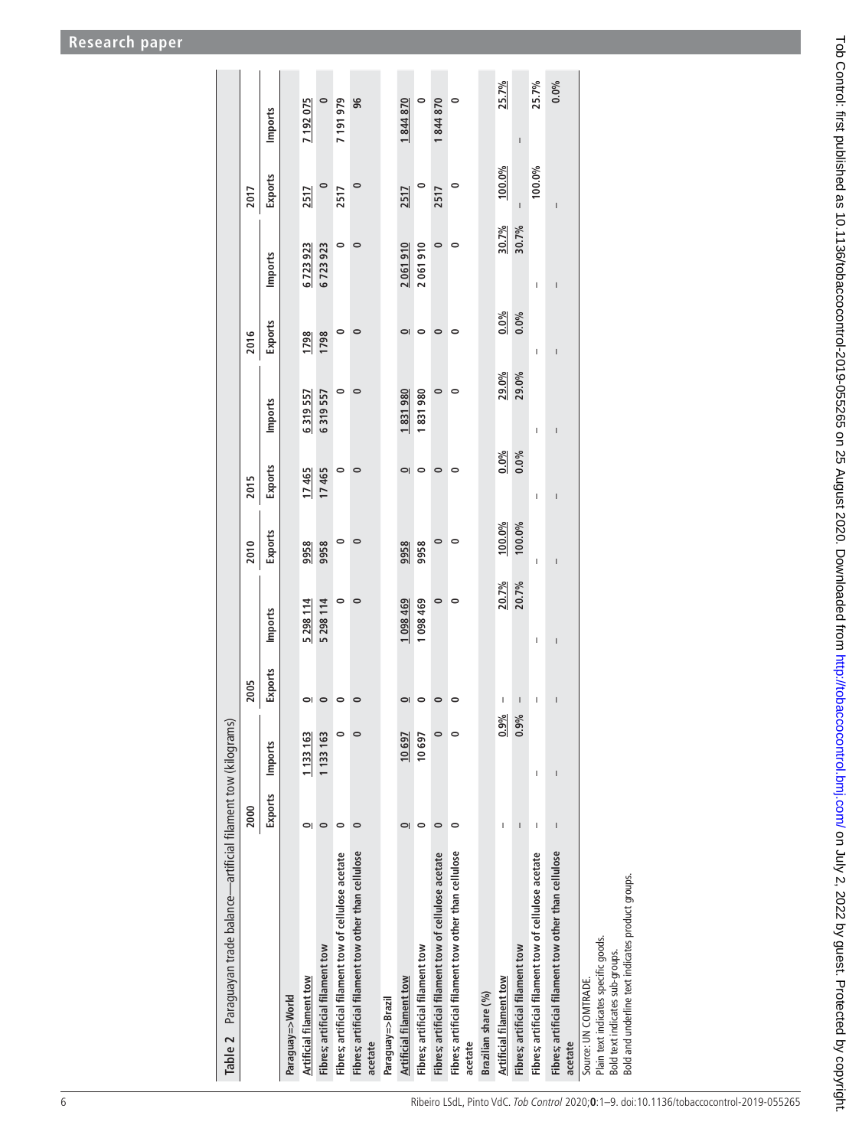<span id="page-5-0"></span>

| Paraguayan trade balance—artificial filament tow (kilograms)<br>Table 2                                                                              |              |             |                                                                                                                                                                                                                                                                                                                                                                                  |                          |                                                                                                                                                                                                                                                                                                                                                                                  |         |              |                          |         |         |                                       |
|------------------------------------------------------------------------------------------------------------------------------------------------------|--------------|-------------|----------------------------------------------------------------------------------------------------------------------------------------------------------------------------------------------------------------------------------------------------------------------------------------------------------------------------------------------------------------------------------|--------------------------|----------------------------------------------------------------------------------------------------------------------------------------------------------------------------------------------------------------------------------------------------------------------------------------------------------------------------------------------------------------------------------|---------|--------------|--------------------------|---------|---------|---------------------------------------|
|                                                                                                                                                      | 2000         |             | 2005                                                                                                                                                                                                                                                                                                                                                                             |                          | 2010                                                                                                                                                                                                                                                                                                                                                                             | 2015    |              | 2016                     |         | 2017    |                                       |
|                                                                                                                                                      | Exports      | Imports     | Exports                                                                                                                                                                                                                                                                                                                                                                          | Imports                  | Exports                                                                                                                                                                                                                                                                                                                                                                          | Exports | Imports      | Exports                  | Imports | Exports | Imports                               |
| Paraguay=>World                                                                                                                                      |              |             |                                                                                                                                                                                                                                                                                                                                                                                  |                          |                                                                                                                                                                                                                                                                                                                                                                                  |         |              |                          |         |         |                                       |
| <b>Artificial filament tow</b>                                                                                                                       | 0            | 1133163     | $\overline{\phantom{0}}$                                                                                                                                                                                                                                                                                                                                                         | 5 298 114                | 9958                                                                                                                                                                                                                                                                                                                                                                             | 17465   | 6319557      | 1798                     | 6723923 | 2517    | 7 192 075                             |
| Fibres; artificial filament tow                                                                                                                      | 0            | 1133163     | 0                                                                                                                                                                                                                                                                                                                                                                                | 5 298 114                | 9958                                                                                                                                                                                                                                                                                                                                                                             | 17465   | 6319557      | 1798                     | 6723923 | $\circ$ | $\circ$                               |
| Fibres; artificial filament tow of cellulose acetate                                                                                                 | c            | 0           | 0                                                                                                                                                                                                                                                                                                                                                                                | $\circ$                  | 0                                                                                                                                                                                                                                                                                                                                                                                | $\circ$ | $\circ$      | 0                        | $\circ$ | 2517    | 7 191 979                             |
| Fibres; artificial filament tow other than cellulose<br>acetate                                                                                      | 0            | 0           | 0                                                                                                                                                                                                                                                                                                                                                                                | $\circ$                  | 0                                                                                                                                                                                                                                                                                                                                                                                | $\circ$ | 0            | $\circ$                  | $\circ$ | 0       | 96                                    |
| Paraguay=>Brazil                                                                                                                                     |              |             |                                                                                                                                                                                                                                                                                                                                                                                  |                          |                                                                                                                                                                                                                                                                                                                                                                                  |         |              |                          |         |         |                                       |
| Artificial filament tow                                                                                                                              | 0            | 10697       | $\overline{\phantom{0}}$                                                                                                                                                                                                                                                                                                                                                         | 1 098 469                | 9958                                                                                                                                                                                                                                                                                                                                                                             | o       | 881980       | 0                        | 2061910 | 2517    | 1844870                               |
| Fibres; artificial filament tow                                                                                                                      |              | 10697       | $\circ$                                                                                                                                                                                                                                                                                                                                                                          | 1 098 469                | 9958                                                                                                                                                                                                                                                                                                                                                                             | $\circ$ | 1831980      | $\circ$                  | 2061910 | $\circ$ | $\circ$                               |
| Fibres; artificial filament tow of cellulose acetate                                                                                                 | 0            | $\circ$     | $\circ$                                                                                                                                                                                                                                                                                                                                                                          | $\circ$                  | $\circ$                                                                                                                                                                                                                                                                                                                                                                          | 0       | $\circ$      | $\circ$                  | $\circ$ | 2517    | 1844870                               |
| Fibres; artificial filament tow other than cellulose<br>acetate                                                                                      | 0            |             | ۰                                                                                                                                                                                                                                                                                                                                                                                | $\circ$                  | 0                                                                                                                                                                                                                                                                                                                                                                                | $\circ$ | 0            | 0                        | 0       | 0       | 0                                     |
| Brazilian share (%)                                                                                                                                  |              |             |                                                                                                                                                                                                                                                                                                                                                                                  |                          |                                                                                                                                                                                                                                                                                                                                                                                  |         |              |                          |         |         |                                       |
| <b>Artificial filament tow</b>                                                                                                                       | I            | 0.9%        | $\sf I$                                                                                                                                                                                                                                                                                                                                                                          | 20.7%                    | 100.0%                                                                                                                                                                                                                                                                                                                                                                           | $0.0\%$ | 29.0%        | $0.0\%$                  | 30.7%   | 100.0%  | 25.7%                                 |
| Fibres; artificial filament tow                                                                                                                      | $\mathsf{I}$ | 0.9%        | $\begin{array}{c} \rule{0pt}{2.5ex} \rule{0pt}{2.5ex} \rule{0pt}{2.5ex} \rule{0pt}{2.5ex} \rule{0pt}{2.5ex} \rule{0pt}{2.5ex} \rule{0pt}{2.5ex} \rule{0pt}{2.5ex} \rule{0pt}{2.5ex} \rule{0pt}{2.5ex} \rule{0pt}{2.5ex} \rule{0pt}{2.5ex} \rule{0pt}{2.5ex} \rule{0pt}{2.5ex} \rule{0pt}{2.5ex} \rule{0pt}{2.5ex} \rule{0pt}{2.5ex} \rule{0pt}{2.5ex} \rule{0pt}{2.5ex} \rule{0$ | 20.7%                    | 100.0%                                                                                                                                                                                                                                                                                                                                                                           | $0.0\%$ | 29.0%        | $0.0\%$                  | 30.7%   |         | $\begin{array}{c} \hline \end{array}$ |
| Fibres; artificial filament tow of cellulose acetate                                                                                                 | I            | I           | I                                                                                                                                                                                                                                                                                                                                                                                | I                        | $\begin{array}{c} \rule{0pt}{2.5ex} \rule{0pt}{2.5ex} \rule{0pt}{2.5ex} \rule{0pt}{2.5ex} \rule{0pt}{2.5ex} \rule{0pt}{2.5ex} \rule{0pt}{2.5ex} \rule{0pt}{2.5ex} \rule{0pt}{2.5ex} \rule{0pt}{2.5ex} \rule{0pt}{2.5ex} \rule{0pt}{2.5ex} \rule{0pt}{2.5ex} \rule{0pt}{2.5ex} \rule{0pt}{2.5ex} \rule{0pt}{2.5ex} \rule{0pt}{2.5ex} \rule{0pt}{2.5ex} \rule{0pt}{2.5ex} \rule{0$ | Т       | I            | I                        | I       | 100.0%  | 25.7%                                 |
| Fibres; artificial filament tow other than cellulose<br>acetate                                                                                      | $\mathsf I$  | $\mathsf I$ | $\mathsf I$                                                                                                                                                                                                                                                                                                                                                                      | $\overline{\phantom{a}}$ | $\mathbf{I}$                                                                                                                                                                                                                                                                                                                                                                     | I       | $\mathbf{I}$ | $\overline{\phantom{a}}$ | I       | I       | 0.0%                                  |
| Bold and underline text indicates product groups.<br>Plain text indicates specific goods.<br>Bold text indicates sub-groups.<br>Source: UN COMTRADE. |              |             |                                                                                                                                                                                                                                                                                                                                                                                  |                          |                                                                                                                                                                                                                                                                                                                                                                                  |         |              |                          |         |         |                                       |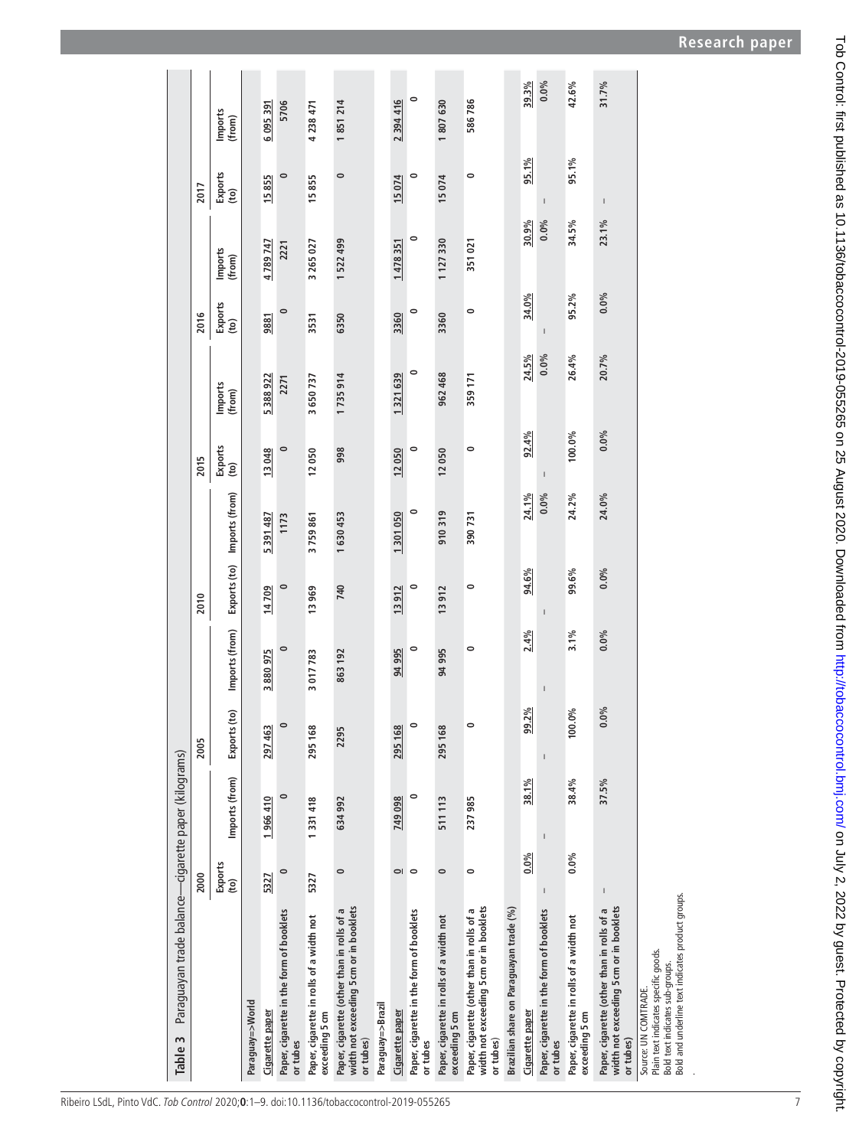| Paraguayan trade balance—cigarette paper (kilograms)<br>Table 3                                                                                      |                            |                |                          |                |                |                |                          |                   |                          |                   |                 |                   |
|------------------------------------------------------------------------------------------------------------------------------------------------------|----------------------------|----------------|--------------------------|----------------|----------------|----------------|--------------------------|-------------------|--------------------------|-------------------|-----------------|-------------------|
|                                                                                                                                                      | 2000                       |                | 2005                     |                | 2010           |                | 2015                     |                   | 2016                     |                   | 2017            |                   |
|                                                                                                                                                      | Exports<br>$\widetilde{c}$ | Imports (from) | Exports (to)             | Imports (from) | Exports (to)   | Imports (from) | Exports<br>$\widehat{E}$ | Imports<br>(from) | Exports<br>$\widehat{E}$ | Imports<br>(from) | Exports<br>(t0) | Imports<br>(from) |
| Paraguay=>World                                                                                                                                      |                            |                |                          |                |                |                |                          |                   |                          |                   |                 |                   |
| Cigarette paper                                                                                                                                      | 5327                       | 1966410        | 297 463                  | 3880975        | 14709          | 5 391 487      | 88<br>$\frac{2}{3}$      | 5 388 922         | 9881                     | 4789747           | 15855           | 6095391           |
| Paper, cigarette in the form of booklets<br>or tubes                                                                                                 | $\circ$                    | 0              | $\circ$                  | 0              | $\circ$        | 1173           | $\circ$                  | 2271              | $\circ$                  | 2221              | 0               | 5706              |
| Paper, cigarette in rolls of a width not<br>exceeding 5 cm                                                                                           | 5327                       | 1331418        | 295 168                  | 3 017 783      | 13969          | 3759861        | 12050                    | 3650737           | 3531                     | 3 265 027         | 15855           | 4 238 471         |
| width not exceeding 5 cm or in booklets<br>Paper, cigarette (other than in rolls of a<br>or tubes)                                                   | $\circ$                    | 634992         | 2295                     | 863 192        | 740            | 1630453        | 998                      | 1735914           | 6350                     | 1 522 499         | $\circ$         | 1851214           |
| Paraguay=>Brazil                                                                                                                                     |                            |                |                          |                |                |                |                          |                   |                          |                   |                 |                   |
| Cigarette paper                                                                                                                                      | $\overline{\mathbf{0}}$    | 749 098        | 295 168                  | 94 995         | 13912          | 1301050        | 12050                    | 1321639           | 3360                     | 1478351           | 15074           | 2394416           |
| Paper, cigarette in the form of booklets<br>or tubes                                                                                                 | $\circ$                    | $\circ$        | $\circ$                  | $\circ$        | 0              | 0              | 0                        | 0                 | $\circ$                  | $\circ$           | 0               | $\circ$           |
| Paper, cigarette in rolls of a width not<br>exceeding 5 cm                                                                                           | $\circ$                    | 511 113        | 295 168                  | 94 995         | 13912          | 910319         | 12050                    | 962 468           | 3360                     | 1127330           | 15074           | 1807630           |
| width not exceeding 5 cm or in booklets<br>Paper, cigarette (other than in rolls of a<br>or tubes)                                                   | $\circ$                    | 237 985        | $\circ$                  | 0              | $\circ$        | 390731         | 0                        | 359 171           | $\circ$                  | 351021            | 0               | 586786            |
| Brazilian share on Paraguayan trade (%)                                                                                                              |                            |                |                          |                |                |                |                          |                   |                          |                   |                 |                   |
| Cigarette paper                                                                                                                                      | $0.0\%$                    | 38.1%          | $2\%$<br>$\overline{99}$ | 2.4%           | 94.6%          | 24.1%          | 92.4%                    | 24.5%             | 34.0%                    | 30.9%             | 95.1%           | 39.3%             |
| Paper, cigarette in the form of booklets<br>or tubes                                                                                                 | I                          | $\overline{1}$ | $\mathbf{I}$             | $\mathsf{I}$   | $\overline{1}$ | $0.0\%$        | I                        | $0.0\%$           | $\mathsf I$              | $0.0\%$           | $\mathsf I$     | $0.0\%$           |
| Paper, cigarette in rolls of a width not<br>exceeding 5 cm                                                                                           | $0.0\%$                    | 38.4%          | 100.0%                   | 3.1%           | 99.6%          | 24.2%          | 100.0%                   | 26.4%             | 95.2%                    | 34.5%             | 95.1%           | 42.6%             |
| width not exceeding 5 cm or in booklets<br>Paper, cigarette (other than in rolls of a<br>or tubes)                                                   |                            | 37.5%          | 0.0%                     | $0.0\%$        | $0.0\%$        | 24.0%          | $0.0\%$                  | 20.7%             | $0.0\%$                  | 23.1%             | I               | 31.7%             |
| Bold and underline text indicates product groups.<br>Plain text indicates specific goods.<br>Bold text indicates sub-groups.<br>Source: UN COMTRADE. |                            |                |                          |                |                |                |                          |                   |                          |                   |                 |                   |

<span id="page-6-0"></span>7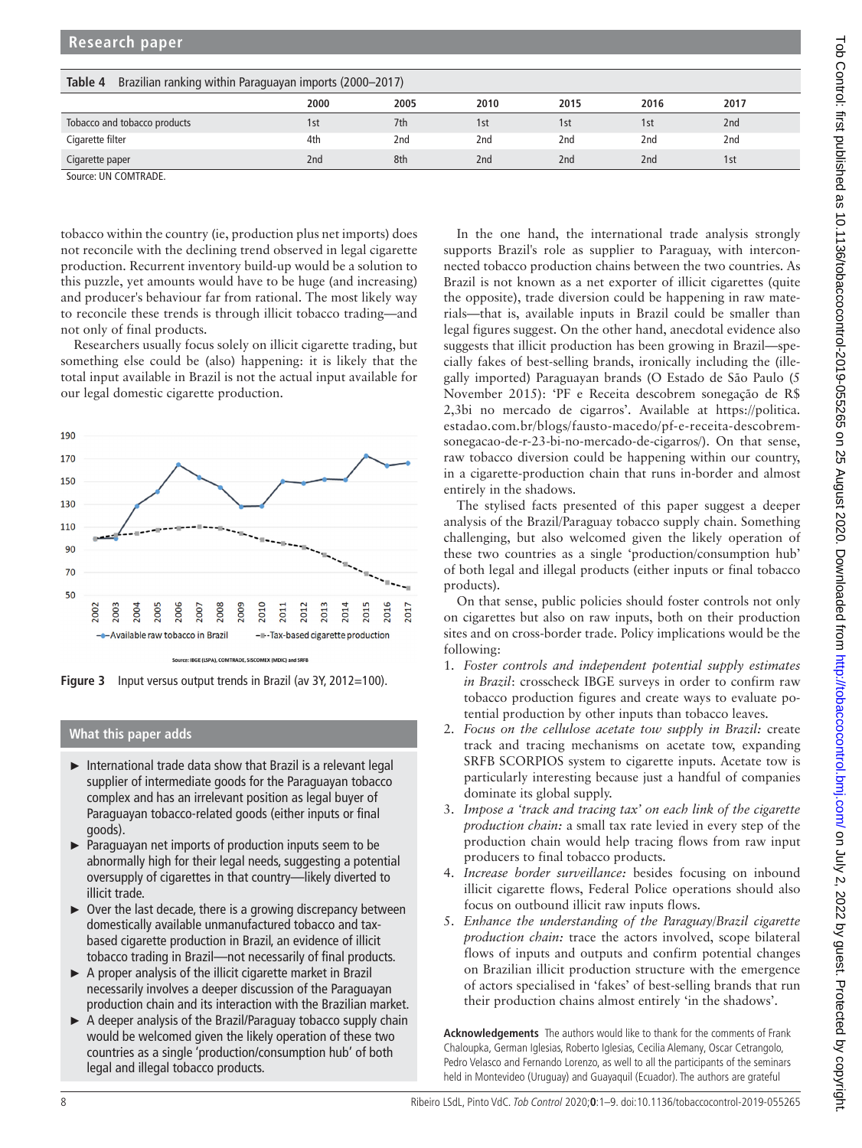<span id="page-7-0"></span>

| Brazilian ranking within Paraguayan imports (2000-2017)<br>Table 4 |      |                 |                 |                 |                 |                 |
|--------------------------------------------------------------------|------|-----------------|-----------------|-----------------|-----------------|-----------------|
|                                                                    | 2000 | 2005            | 2010            | 2015            | 2016            | 2017            |
| Tobacco and tobacco products                                       | 1st  | 7th             | 1st             | 1st             | 1st             | 2 <sub>nd</sub> |
| Cigarette filter                                                   | 4th  | 2 <sub>nd</sub> | 2 <sub>nd</sub> | 2nd             | 2 <sub>nd</sub> | 2 <sub>nd</sub> |
| Cigarette paper                                                    | 2nd  | 8th             | 2 <sub>nd</sub> | 2 <sub>nd</sub> | 2 <sub>nd</sub> | 1st             |

Source: UN COMTRADE.

**Research paper**

tobacco within the country (ie, production plus net imports) does not reconcile with the declining trend observed in legal cigarette production. Recurrent inventory build-up would be a solution to this puzzle, yet amounts would have to be huge (and increasing) and producer's behaviour far from rational. The most likely way to reconcile these trends is through illicit tobacco trading—and not only of final products.

Researchers usually focus solely on illicit cigarette trading, but something else could be (also) happening: it is likely that the total input available in Brazil is not the actual input available for our legal domestic cigarette production.



<span id="page-7-1"></span>**Figure 3** Input versus output trends in Brazil (av 3Y, 2012=100).

# **What this paper adds**

- ► International trade data show that Brazil is a relevant legal supplier of intermediate goods for the Paraguayan tobacco complex and has an irrelevant position as legal buyer of Paraguayan tobacco-related goods (either inputs or final goods).
- ► Paraguayan net imports of production inputs seem to be abnormally high for their legal needs, suggesting a potential oversupply of cigarettes in that country—likely diverted to illicit trade.
- ► Over the last decade, there is a growing discrepancy between domestically available unmanufactured tobacco and taxbased cigarette production in Brazil, an evidence of illicit tobacco trading in Brazil—not necessarily of final products.
- $\triangleright$  A proper analysis of the illicit cigarette market in Brazil necessarily involves a deeper discussion of the Paraguayan production chain and its interaction with the Brazilian market.
- ► A deeper analysis of the Brazil/Paraguay tobacco supply chain would be welcomed given the likely operation of these two countries as a single 'production/consumption hub' of both legal and illegal tobacco products.

In the one hand, the international trade analysis strongly supports Brazil's role as supplier to Paraguay, with interconnected tobacco production chains between the two countries. As Brazil is not known as a net exporter of illicit cigarettes (quite the opposite), trade diversion could be happening in raw materials—that is, available inputs in Brazil could be smaller than legal figures suggest. On the other hand, anecdotal evidence also suggests that illicit production has been growing in Brazil—specially fakes of best-selling brands, ironically including the (illegally imported) Paraguayan brands (O Estado de São Paulo (5 November 2015): 'PF e Receita descobrem sonegação de R\$ 2,3bi no mercado de cigarros'. Available at [https://politica.](https://politica.estadao.com.br/blogs/fausto-macedo/pf-e-receita-descobrem-sonegacao-de-r-23-bi-no-mercado-de-cigarros/) [estadao.com.br/blogs/fausto-macedo/pf-e-receita-descobrem](https://politica.estadao.com.br/blogs/fausto-macedo/pf-e-receita-descobrem-sonegacao-de-r-23-bi-no-mercado-de-cigarros/)[sonegacao-de-r-23-bi-no-mercado-de-cigarros/](https://politica.estadao.com.br/blogs/fausto-macedo/pf-e-receita-descobrem-sonegacao-de-r-23-bi-no-mercado-de-cigarros/)). On that sense, raw tobacco diversion could be happening within our country, in a cigarette-production chain that runs in-border and almost entirely in the shadows.

The stylised facts presented of this paper suggest a deeper analysis of the Brazil/Paraguay tobacco supply chain. Something challenging, but also welcomed given the likely operation of these two countries as a single 'production/consumption hub' of both legal and illegal products (either inputs or final tobacco products).

On that sense, public policies should foster controls not only on cigarettes but also on raw inputs, both on their production sites and on cross-border trade. Policy implications would be the following:

- 1. *Foster controls and independent potential supply estimates in Brazil*: crosscheck IBGE surveys in order to confirm raw tobacco production figures and create ways to evaluate potential production by other inputs than tobacco leaves.
- 2. *Focus on the cellulose acetate tow supply in Brazil:* create track and tracing mechanisms on acetate tow, expanding SRFB SCORPIOS system to cigarette inputs. Acetate tow is particularly interesting because just a handful of companies dominate its global supply.
- 3. *Impose a 'track and tracing tax' on each link of the cigarette production chain:* a small tax rate levied in every step of the production chain would help tracing flows from raw input producers to final tobacco products.
- 4. *Increase border surveillance:* besides focusing on inbound illicit cigarette flows, Federal Police operations should also focus on outbound illicit raw inputs flows.
- 5. *Enhance the understanding of the Paraguay/Brazil cigarette production chain:* trace the actors involved, scope bilateral flows of inputs and outputs and confirm potential changes on Brazilian illicit production structure with the emergence of actors specialised in 'fakes' of best-selling brands that run their production chains almost entirely 'in the shadows'.

**Acknowledgements** The authors would like to thank for the comments of Frank Chaloupka, German Iglesias, Roberto Iglesias, Cecilia Alemany, Oscar Cetrangolo, Pedro Velasco and Fernando Lorenzo, as well to all the participants of the seminars held in Montevideo (Uruguay) and Guayaquil (Ecuador). The authors are grateful